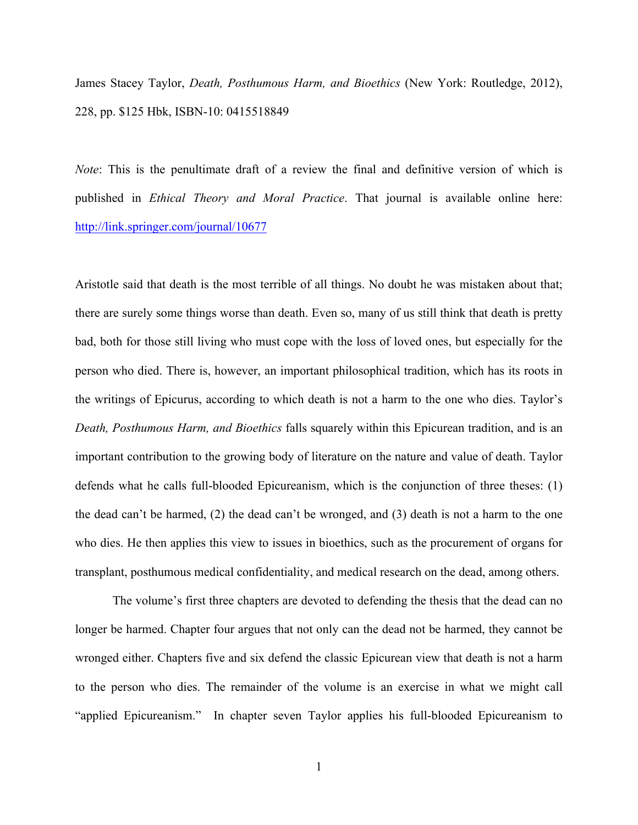James Stacey Taylor, *Death, Posthumous Harm, and Bioethics* (New York: Routledge, 2012), 228, pp. \$125 Hbk, ISBN-10: 0415518849

*Note*: This is the penultimate draft of a review the final and definitive version of which is published in *Ethical Theory and Moral Practice*. That journal is available online here: http://link.springer.com/journal/10677

Aristotle said that death is the most terrible of all things. No doubt he was mistaken about that; there are surely some things worse than death. Even so, many of us still think that death is pretty bad, both for those still living who must cope with the loss of loved ones, but especially for the person who died. There is, however, an important philosophical tradition, which has its roots in the writings of Epicurus, according to which death is not a harm to the one who dies. Taylor's *Death, Posthumous Harm, and Bioethics* falls squarely within this Epicurean tradition, and is an important contribution to the growing body of literature on the nature and value of death. Taylor defends what he calls full-blooded Epicureanism, which is the conjunction of three theses: (1) the dead can't be harmed, (2) the dead can't be wronged, and (3) death is not a harm to the one who dies. He then applies this view to issues in bioethics, such as the procurement of organs for transplant, posthumous medical confidentiality, and medical research on the dead, among others.

The volume's first three chapters are devoted to defending the thesis that the dead can no longer be harmed. Chapter four argues that not only can the dead not be harmed, they cannot be wronged either. Chapters five and six defend the classic Epicurean view that death is not a harm to the person who dies. The remainder of the volume is an exercise in what we might call "applied Epicureanism." In chapter seven Taylor applies his full-blooded Epicureanism to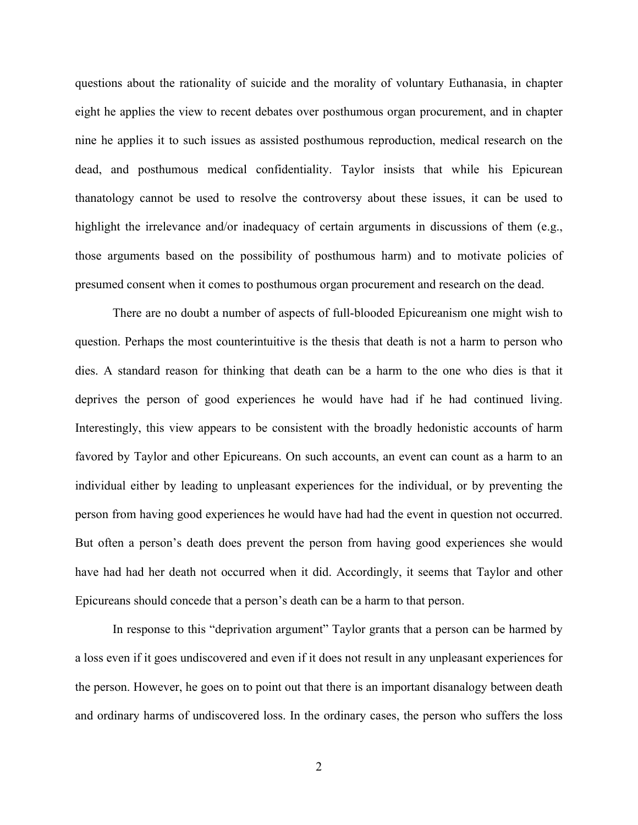questions about the rationality of suicide and the morality of voluntary Euthanasia, in chapter eight he applies the view to recent debates over posthumous organ procurement, and in chapter nine he applies it to such issues as assisted posthumous reproduction, medical research on the dead, and posthumous medical confidentiality. Taylor insists that while his Epicurean thanatology cannot be used to resolve the controversy about these issues, it can be used to highlight the irrelevance and/or inadequacy of certain arguments in discussions of them (e.g., those arguments based on the possibility of posthumous harm) and to motivate policies of presumed consent when it comes to posthumous organ procurement and research on the dead.

There are no doubt a number of aspects of full-blooded Epicureanism one might wish to question. Perhaps the most counterintuitive is the thesis that death is not a harm to person who dies. A standard reason for thinking that death can be a harm to the one who dies is that it deprives the person of good experiences he would have had if he had continued living. Interestingly, this view appears to be consistent with the broadly hedonistic accounts of harm favored by Taylor and other Epicureans. On such accounts, an event can count as a harm to an individual either by leading to unpleasant experiences for the individual, or by preventing the person from having good experiences he would have had had the event in question not occurred. But often a person's death does prevent the person from having good experiences she would have had had her death not occurred when it did. Accordingly, it seems that Taylor and other Epicureans should concede that a person's death can be a harm to that person.

In response to this "deprivation argument" Taylor grants that a person can be harmed by a loss even if it goes undiscovered and even if it does not result in any unpleasant experiences for the person. However, he goes on to point out that there is an important disanalogy between death and ordinary harms of undiscovered loss. In the ordinary cases, the person who suffers the loss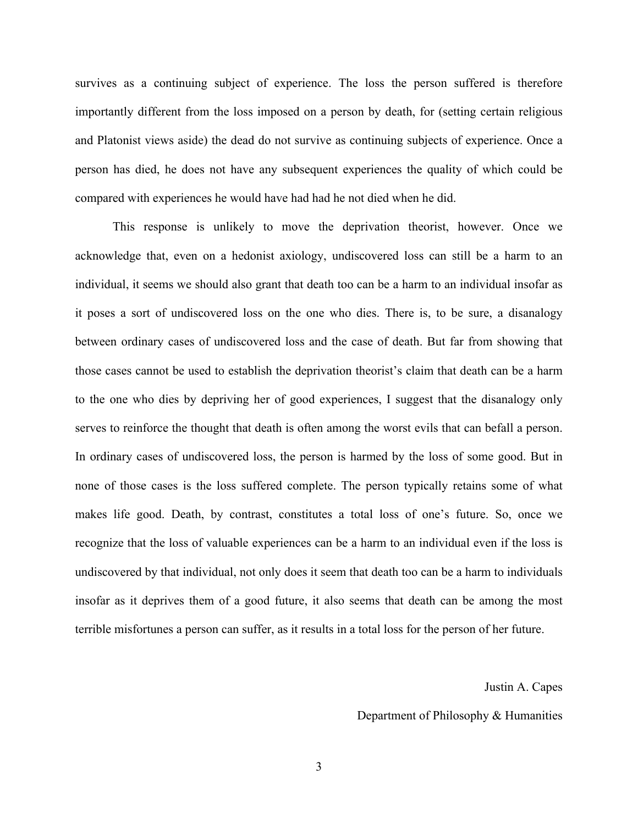survives as a continuing subject of experience. The loss the person suffered is therefore importantly different from the loss imposed on a person by death, for (setting certain religious and Platonist views aside) the dead do not survive as continuing subjects of experience. Once a person has died, he does not have any subsequent experiences the quality of which could be compared with experiences he would have had had he not died when he did.

This response is unlikely to move the deprivation theorist, however. Once we acknowledge that, even on a hedonist axiology, undiscovered loss can still be a harm to an individual, it seems we should also grant that death too can be a harm to an individual insofar as it poses a sort of undiscovered loss on the one who dies. There is, to be sure, a disanalogy between ordinary cases of undiscovered loss and the case of death. But far from showing that those cases cannot be used to establish the deprivation theorist's claim that death can be a harm to the one who dies by depriving her of good experiences, I suggest that the disanalogy only serves to reinforce the thought that death is often among the worst evils that can befall a person. In ordinary cases of undiscovered loss, the person is harmed by the loss of some good. But in none of those cases is the loss suffered complete. The person typically retains some of what makes life good. Death, by contrast, constitutes a total loss of one's future. So, once we recognize that the loss of valuable experiences can be a harm to an individual even if the loss is undiscovered by that individual, not only does it seem that death too can be a harm to individuals insofar as it deprives them of a good future, it also seems that death can be among the most terrible misfortunes a person can suffer, as it results in a total loss for the person of her future.

> Justin A. Capes Department of Philosophy & Humanities

3